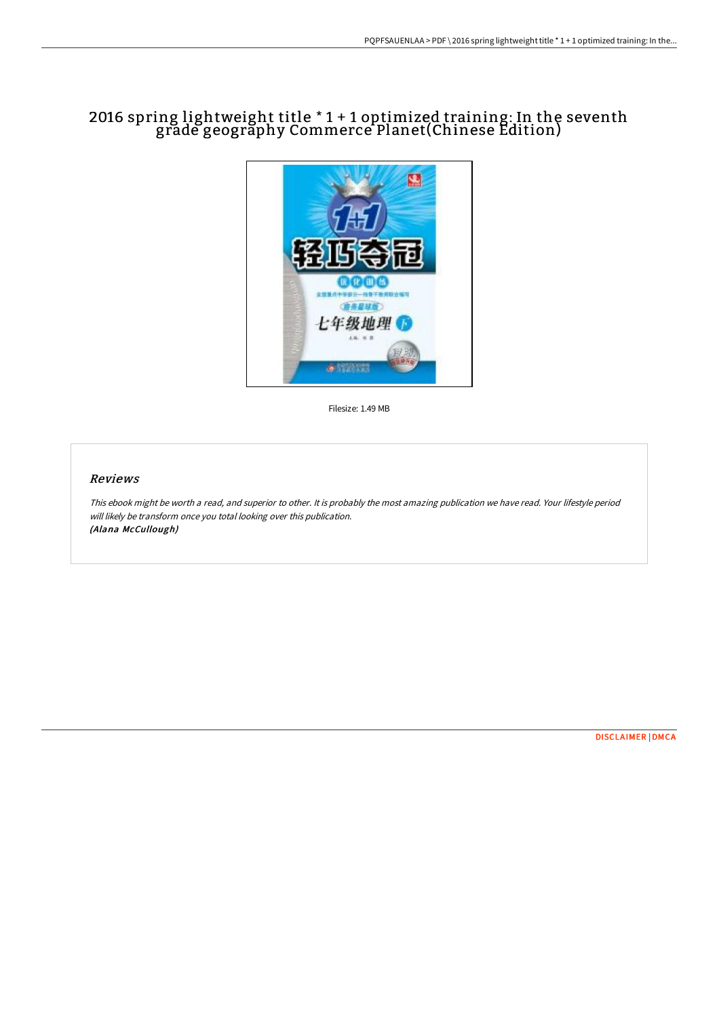## 2016 spring lightweight title \* 1 + 1 optimized training: In the seventh grade geography Commerce Planet(Chinese Edition)



Filesize: 1.49 MB

## Reviews

This ebook might be worth <sup>a</sup> read, and superior to other. It is probably the most amazing publication we have read. Your lifestyle period will likely be transform once you total looking over this publication. (Alana McCullough)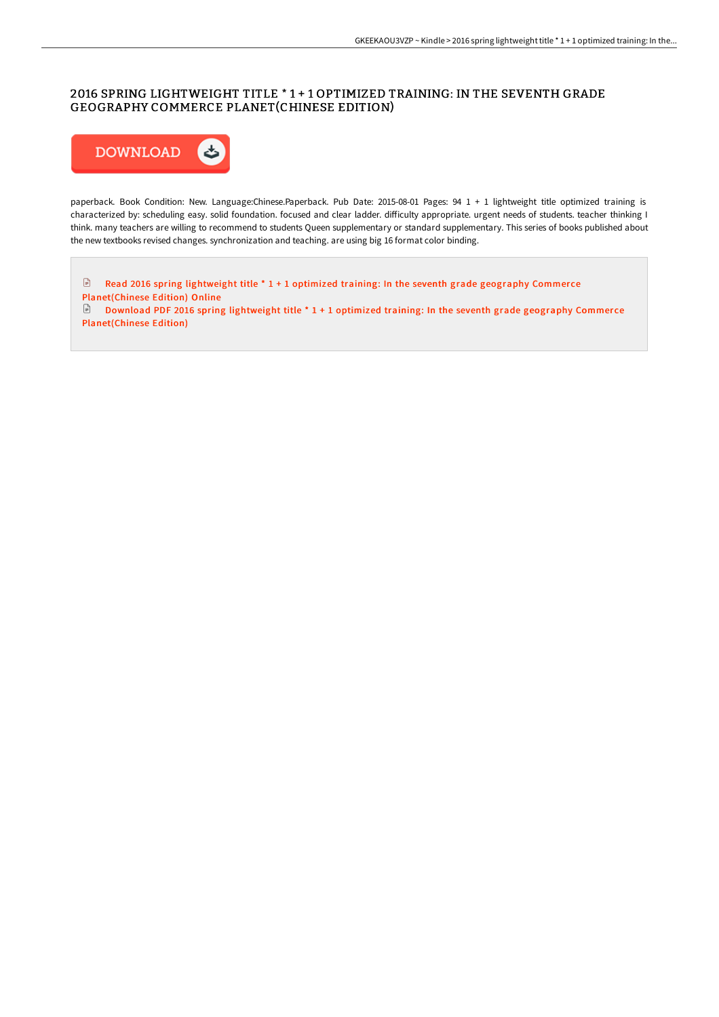## 2016 SPRING LIGHTWEIGHT TITLE \* 1 + 1 OPTIMIZED TRAINING: IN THE SEVENTH GRADE GEOGRAPHY COMMERCE PLANET(CHINESE EDITION)



paperback. Book Condition: New. Language:Chinese.Paperback. Pub Date: 2015-08-01 Pages: 94 1 + 1 lightweight title optimized training is characterized by: scheduling easy. solid foundation. focused and clear ladder. difficulty appropriate. urgent needs of students. teacher thinking I think. many teachers are willing to recommend to students Queen supplementary or standard supplementary. This series of books published about the new textbooks revised changes. synchronization and teaching. are using big 16 format color binding.